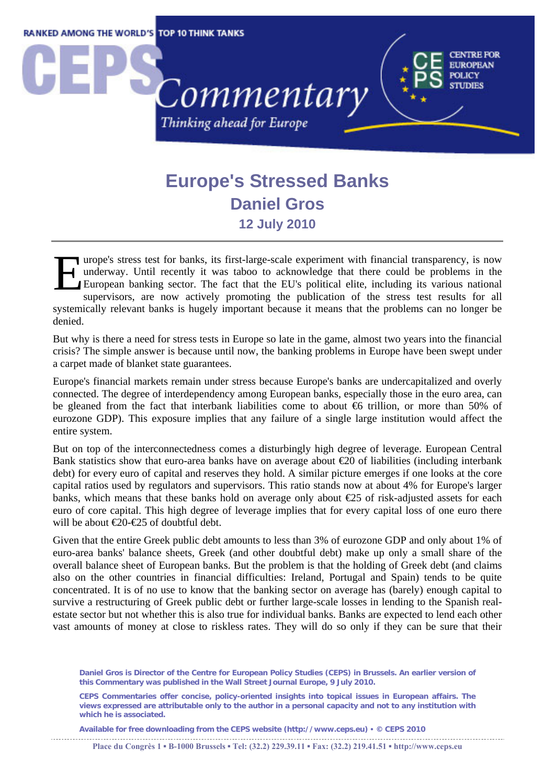

## **Europe's Stressed Banks Daniel Gros 12 July 2010**

urope's stress test for banks, its first-large-scale experiment with financial transparency, is now underway. Until recently it was taboo to acknowledge that there could be problems in the EU European banking sector. The f underway. Until recently it was taboo to acknowledge that there could be problems in the European banking sector. The fact that the EU's political elite, including its various national supervisors, are now actively promoting the publication of the stress test results for all systemically relevant banks is hugely important because it means that the problems can no longer be denied.

But why is there a need for stress tests in Europe so late in the game, almost two years into the financial crisis? The simple answer is because until now, the banking problems in Europe have been swept under a carpet made of blanket state guarantees.

Europe's financial markets remain under stress because Europe's banks are undercapitalized and overly connected. The degree of interdependency among European banks, especially those in the euro area, can be gleaned from the fact that interbank liabilities come to about €6 trillion, or more than 50% of eurozone GDP). This exposure implies that any failure of a single large institution would affect the entire system.

But on top of the interconnectedness comes a disturbingly high degree of leverage. European Central Bank statistics show that euro-area banks have on average about  $\epsilon$ 20 of liabilities (including interbank debt) for every euro of capital and reserves they hold. A similar picture emerges if one looks at the core capital ratios used by regulators and supervisors. This ratio stands now at about 4% for Europe's larger banks, which means that these banks hold on average only about €25 of risk-adjusted assets for each euro of core capital. This high degree of leverage implies that for every capital loss of one euro there will be about  $\epsilon$ 20- $\epsilon$ 25 of doubtful debt.

Given that the entire Greek public debt amounts to less than 3% of eurozone GDP and only about 1% of euro-area banks' balance sheets, Greek (and other doubtful debt) make up only a small share of the overall balance sheet of European banks. But the problem is that the holding of Greek debt (and claims also on the other countries in financial difficulties: Ireland, Portugal and Spain) tends to be quite concentrated. It is of no use to know that the banking sector on average has (barely) enough capital to survive a restructuring of Greek public debt or further large-scale losses in lending to the Spanish realestate sector but not whether this is also true for individual banks. Banks are expected to lend each other vast amounts of money at close to riskless rates. They will do so only if they can be sure that their

**Available for free downloading from the CEPS website (http://www.ceps.eu)** y **© CEPS 2010** 

**Daniel Gros is Director of the Centre for European Policy Studies (CEPS) in Brussels. An earlier version of this Commentary was published in the Wall Street Journal Europe, 9 July 2010.** 

**CEPS Commentaries offer concise, policy-oriented insights into topical issues in European affairs. The views expressed are attributable only to the author in a personal capacity and not to any institution with which he is associated.**